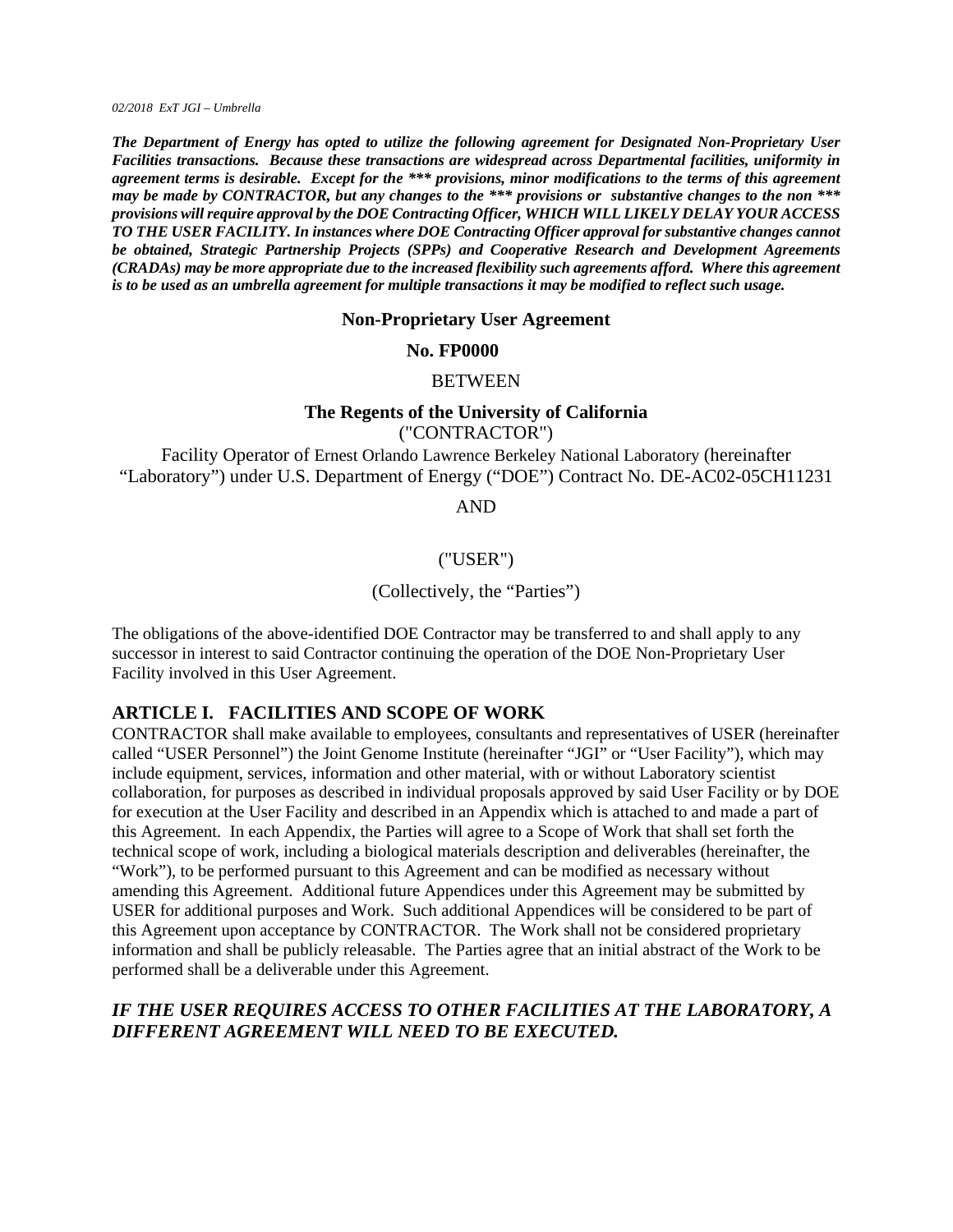*02/2018 ExT JGI – Umbrella* 

*The Department of Energy has opted to utilize the following agreement for Designated Non-Proprietary User Facilities transactions. Because these transactions are widespread across Departmental facilities, uniformity in agreement terms is desirable. Except for the \*\*\* provisions, minor modifications to the terms of this agreement may be made by CONTRACTOR, but any changes to the \*\*\* provisions or substantive changes to the non \*\*\* provisions will require approval by the DOE Contracting Officer, WHICH WILL LIKELY DELAY YOUR ACCESS TO THE USER FACILITY. In instances where DOE Contracting Officer approval for substantive changes cannot be obtained, Strategic Partnership Projects (SPPs) and Cooperative Research and Development Agreements (CRADAs) may be more appropriate due to the increased flexibility such agreements afford. Where this agreement is to be used as an umbrella agreement for multiple transactions it may be modified to reflect such usage.* 

#### **Non-Proprietary User Agreement**

#### **No. FP0000**

#### BETWEEN

#### **The Regents of the University of California**

("CONTRACTOR")

Facility Operator of Ernest Orlando Lawrence Berkeley National Laboratory (hereinafter "Laboratory") under U.S. Department of Energy ("DOE") Contract No. DE-AC02-05CH11231

AND

### ("USER")

#### (Collectively, the "Parties")

The obligations of the above-identified DOE Contractor may be transferred to and shall apply to any successor in interest to said Contractor continuing the operation of the DOE Non-Proprietary User Facility involved in this User Agreement.

#### **ARTICLE I. FACILITIES AND SCOPE OF WORK**

CONTRACTOR shall make available to employees, consultants and representatives of USER (hereinafter called "USER Personnel") the Joint Genome Institute (hereinafter "JGI" or "User Facility"), which may include equipment, services, information and other material, with or without Laboratory scientist collaboration, for purposes as described in individual proposals approved by said User Facility or by DOE for execution at the User Facility and described in an Appendix which is attached to and made a part of this Agreement. In each Appendix, the Parties will agree to a Scope of Work that shall set forth the technical scope of work, including a biological materials description and deliverables (hereinafter, the "Work"), to be performed pursuant to this Agreement and can be modified as necessary without amending this Agreement. Additional future Appendices under this Agreement may be submitted by USER for additional purposes and Work. Such additional Appendices will be considered to be part of this Agreement upon acceptance by CONTRACTOR. The Work shall not be considered proprietary information and shall be publicly releasable. The Parties agree that an initial abstract of the Work to be performed shall be a deliverable under this Agreement.

# *IF THE USER REQUIRES ACCESS TO OTHER FACILITIES AT THE LABORATORY, A DIFFERENT AGREEMENT WILL NEED TO BE EXECUTED.*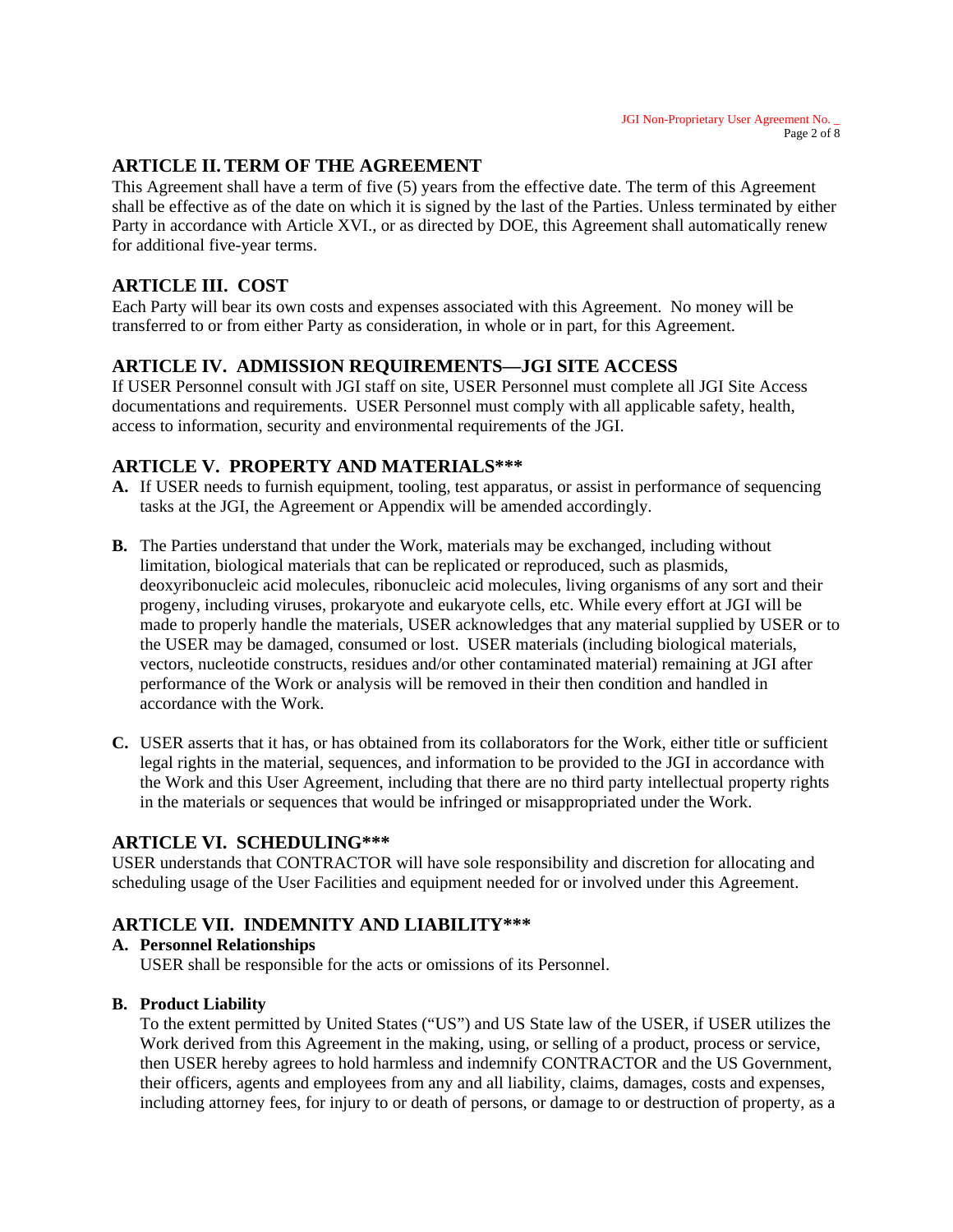# **ARTICLE II. TERM OF THE AGREEMENT**

This Agreement shall have a term of five (5) years from the effective date. The term of this Agreement shall be effective as of the date on which it is signed by the last of the Parties. Unless terminated by either Party in accordance with Article XVI., or as directed by DOE, this Agreement shall automatically renew for additional five-year terms.

# **ARTICLE III. COST**

Each Party will bear its own costs and expenses associated with this Agreement. No money will be transferred to or from either Party as consideration, in whole or in part, for this Agreement.

# **ARTICLE IV. ADMISSION REQUIREMENTS—JGI SITE ACCESS**

If USER Personnel consult with JGI staff on site, USER Personnel must complete all JGI Site Access documentations and requirements. USER Personnel must comply with all applicable safety, health, access to information, security and environmental requirements of the JGI.

# **ARTICLE V. PROPERTY AND MATERIALS\*\*\***

- **A.** If USER needs to furnish equipment, tooling, test apparatus, or assist in performance of sequencing tasks at the JGI, the Agreement or Appendix will be amended accordingly.
- **B.** The Parties understand that under the Work, materials may be exchanged, including without limitation, biological materials that can be replicated or reproduced, such as plasmids, deoxyribonucleic acid molecules, ribonucleic acid molecules, living organisms of any sort and their progeny, including viruses, prokaryote and eukaryote cells, etc. While every effort at JGI will be made to properly handle the materials, USER acknowledges that any material supplied by USER or to the USER may be damaged, consumed or lost. USER materials (including biological materials, vectors, nucleotide constructs, residues and/or other contaminated material) remaining at JGI after performance of the Work or analysis will be removed in their then condition and handled in accordance with the Work.
- **C.** USER asserts that it has, or has obtained from its collaborators for the Work, either title or sufficient legal rights in the material, sequences, and information to be provided to the JGI in accordance with the Work and this User Agreement, including that there are no third party intellectual property rights in the materials or sequences that would be infringed or misappropriated under the Work.

# **ARTICLE VI. SCHEDULING\*\*\***

USER understands that CONTRACTOR will have sole responsibility and discretion for allocating and scheduling usage of the User Facilities and equipment needed for or involved under this Agreement.

# **ARTICLE VII. INDEMNITY AND LIABILITY\*\*\***

#### **A. Personnel Relationships**  USER shall be responsible for the acts or omissions of its Personnel.

# **B. Product Liability**

To the extent permitted by United States ("US") and US State law of the USER, if USER utilizes the Work derived from this Agreement in the making, using, or selling of a product, process or service, then USER hereby agrees to hold harmless and indemnify CONTRACTOR and the US Government, their officers, agents and employees from any and all liability, claims, damages, costs and expenses, including attorney fees, for injury to or death of persons, or damage to or destruction of property, as a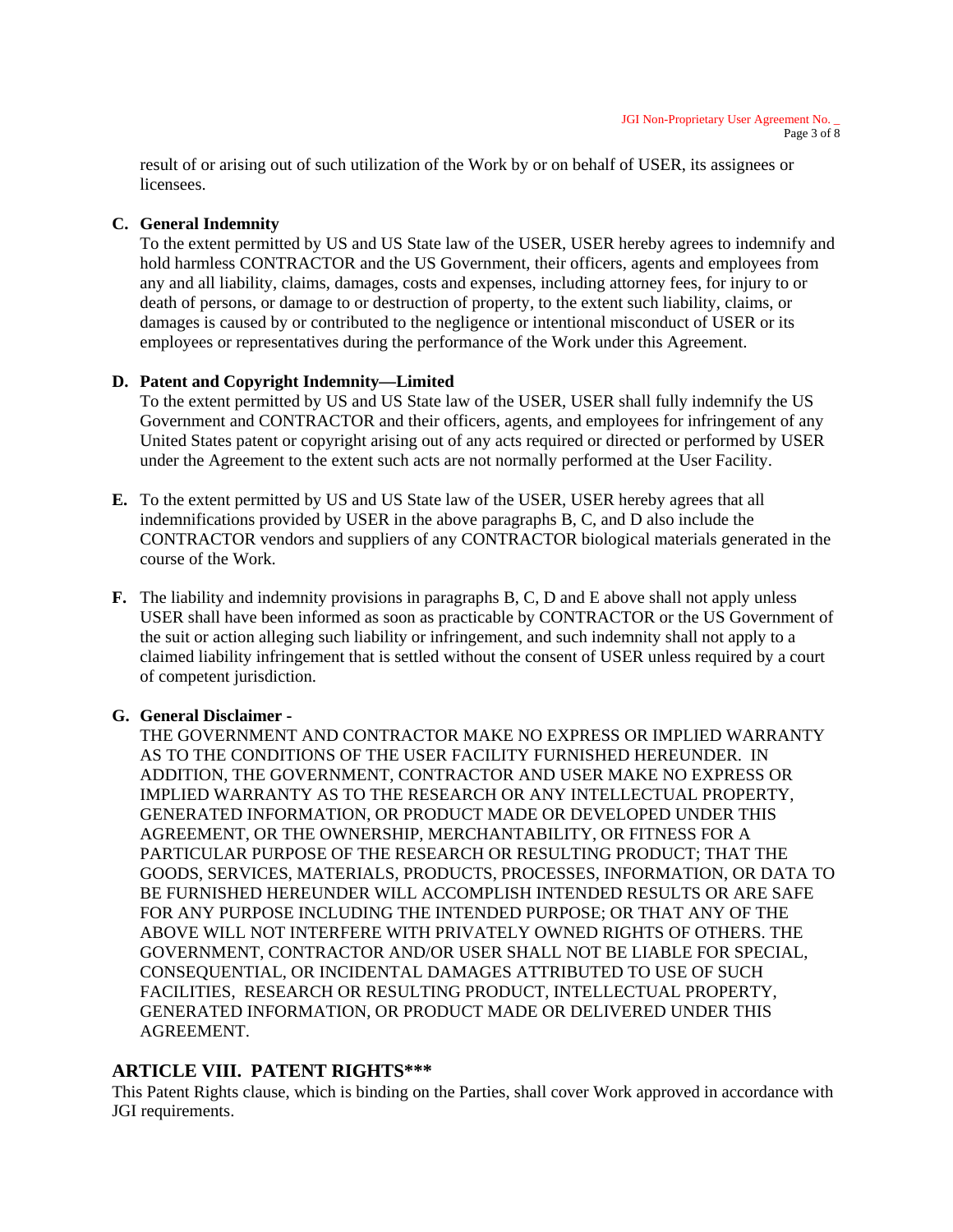result of or arising out of such utilization of the Work by or on behalf of USER, its assignees or **licensees** 

# **C. General Indemnity**

To the extent permitted by US and US State law of the USER, USER hereby agrees to indemnify and hold harmless CONTRACTOR and the US Government, their officers, agents and employees from any and all liability, claims, damages, costs and expenses, including attorney fees, for injury to or death of persons, or damage to or destruction of property, to the extent such liability, claims, or damages is caused by or contributed to the negligence or intentional misconduct of USER or its employees or representatives during the performance of the Work under this Agreement.

# **D. Patent and Copyright Indemnity—Limited**

To the extent permitted by US and US State law of the USER, USER shall fully indemnify the US Government and CONTRACTOR and their officers, agents, and employees for infringement of any United States patent or copyright arising out of any acts required or directed or performed by USER under the Agreement to the extent such acts are not normally performed at the User Facility.

- **E.** To the extent permitted by US and US State law of the USER, USER hereby agrees that all indemnifications provided by USER in the above paragraphs B, C, and D also include the CONTRACTOR vendors and suppliers of any CONTRACTOR biological materials generated in the course of the Work.
- **F.** The liability and indemnity provisions in paragraphs B, C, D and E above shall not apply unless USER shall have been informed as soon as practicable by CONTRACTOR or the US Government of the suit or action alleging such liability or infringement, and such indemnity shall not apply to a claimed liability infringement that is settled without the consent of USER unless required by a court of competent jurisdiction.

#### **G. General Disclaimer -**

THE GOVERNMENT AND CONTRACTOR MAKE NO EXPRESS OR IMPLIED WARRANTY AS TO THE CONDITIONS OF THE USER FACILITY FURNISHED HEREUNDER. IN ADDITION, THE GOVERNMENT, CONTRACTOR AND USER MAKE NO EXPRESS OR IMPLIED WARRANTY AS TO THE RESEARCH OR ANY INTELLECTUAL PROPERTY, GENERATED INFORMATION, OR PRODUCT MADE OR DEVELOPED UNDER THIS AGREEMENT, OR THE OWNERSHIP, MERCHANTABILITY, OR FITNESS FOR A PARTICULAR PURPOSE OF THE RESEARCH OR RESULTING PRODUCT; THAT THE GOODS, SERVICES, MATERIALS, PRODUCTS, PROCESSES, INFORMATION, OR DATA TO BE FURNISHED HEREUNDER WILL ACCOMPLISH INTENDED RESULTS OR ARE SAFE FOR ANY PURPOSE INCLUDING THE INTENDED PURPOSE; OR THAT ANY OF THE ABOVE WILL NOT INTERFERE WITH PRIVATELY OWNED RIGHTS OF OTHERS. THE GOVERNMENT, CONTRACTOR AND/OR USER SHALL NOT BE LIABLE FOR SPECIAL, CONSEQUENTIAL, OR INCIDENTAL DAMAGES ATTRIBUTED TO USE OF SUCH FACILITIES, RESEARCH OR RESULTING PRODUCT, INTELLECTUAL PROPERTY, GENERATED INFORMATION, OR PRODUCT MADE OR DELIVERED UNDER THIS **AGREEMENT** 

# **ARTICLE VIII. PATENT RIGHTS\*\*\***

This Patent Rights clause, which is binding on the Parties, shall cover Work approved in accordance with JGI requirements.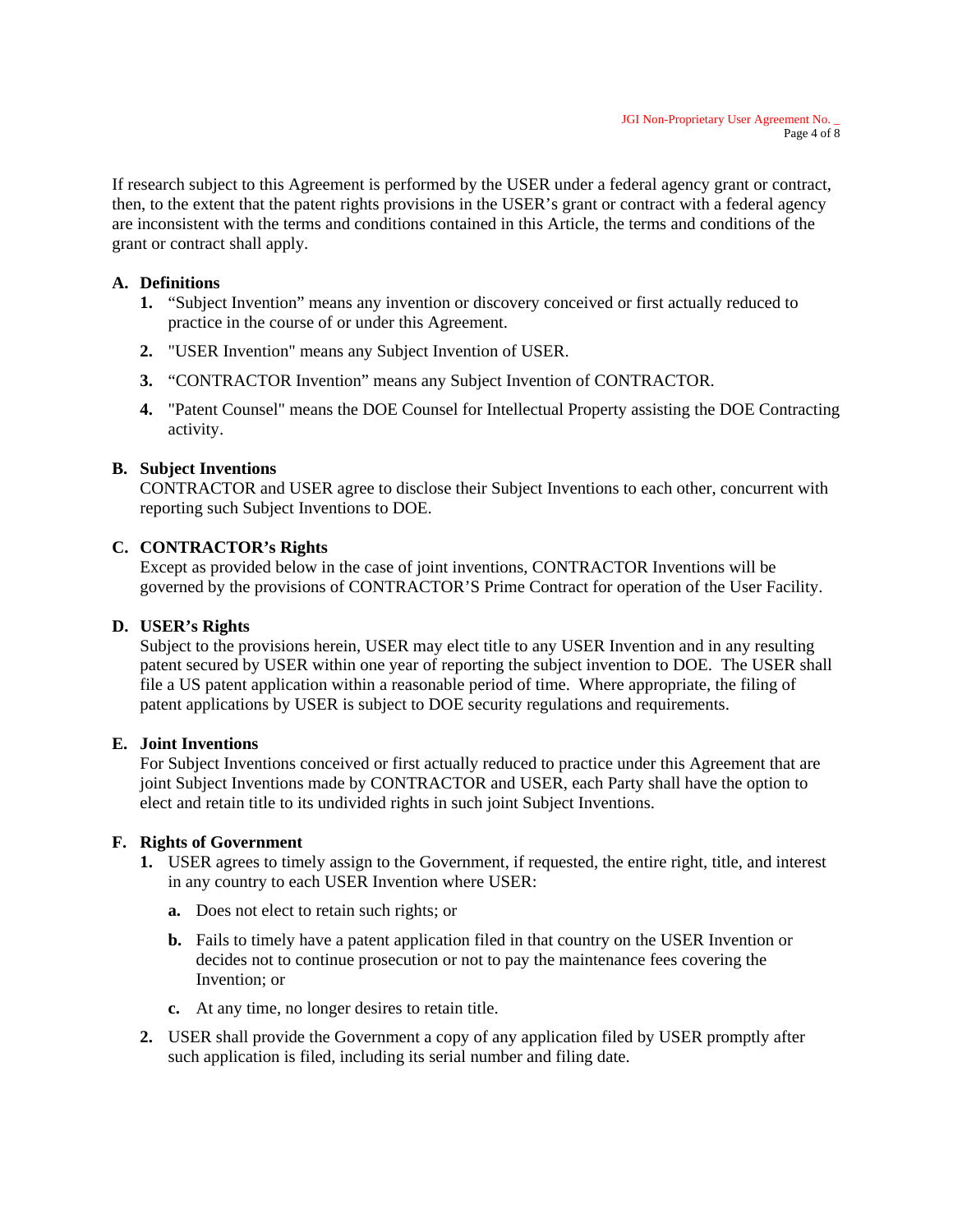If research subject to this Agreement is performed by the USER under a federal agency grant or contract, then, to the extent that the patent rights provisions in the USER's grant or contract with a federal agency are inconsistent with the terms and conditions contained in this Article, the terms and conditions of the grant or contract shall apply.

### **A. Definitions**

- **1.** "Subject Invention" means any invention or discovery conceived or first actually reduced to practice in the course of or under this Agreement.
- **2.** "USER Invention" means any Subject Invention of USER.
- **3.** "CONTRACTOR Invention" means any Subject Invention of CONTRACTOR.
- **4.** "Patent Counsel" means the DOE Counsel for Intellectual Property assisting the DOE Contracting activity.

### **B. Subject Inventions**

CONTRACTOR and USER agree to disclose their Subject Inventions to each other, concurrent with reporting such Subject Inventions to DOE.

### **C. CONTRACTOR's Rights**

Except as provided below in the case of joint inventions, CONTRACTOR Inventions will be governed by the provisions of CONTRACTOR'S Prime Contract for operation of the User Facility.

#### **D. USER's Rights**

Subject to the provisions herein, USER may elect title to any USER Invention and in any resulting patent secured by USER within one year of reporting the subject invention to DOE. The USER shall file a US patent application within a reasonable period of time. Where appropriate, the filing of patent applications by USER is subject to DOE security regulations and requirements.

#### **E. Joint Inventions**

For Subject Inventions conceived or first actually reduced to practice under this Agreement that are joint Subject Inventions made by CONTRACTOR and USER, each Party shall have the option to elect and retain title to its undivided rights in such joint Subject Inventions.

#### **F. Rights of Government**

- **1.** USER agrees to timely assign to the Government, if requested, the entire right, title, and interest in any country to each USER Invention where USER:
	- **a.** Does not elect to retain such rights; or
	- **b.** Fails to timely have a patent application filed in that country on the USER Invention or decides not to continue prosecution or not to pay the maintenance fees covering the Invention; or
	- **c.** At any time, no longer desires to retain title.
- **2.** USER shall provide the Government a copy of any application filed by USER promptly after such application is filed, including its serial number and filing date.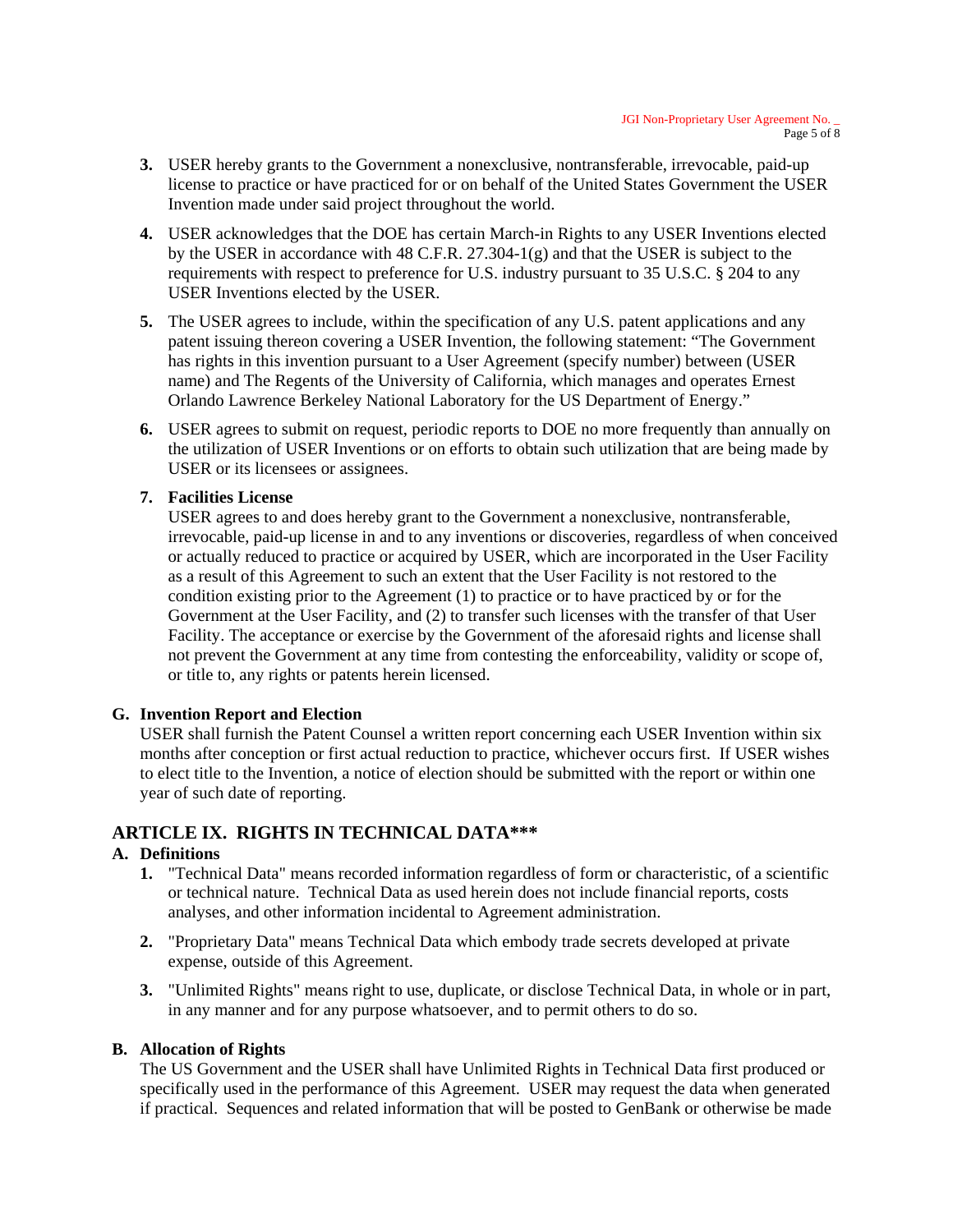- **3.** USER hereby grants to the Government a nonexclusive, nontransferable, irrevocable, paid-up license to practice or have practiced for or on behalf of the United States Government the USER Invention made under said project throughout the world.
- **4.** USER acknowledges that the DOE has certain March-in Rights to any USER Inventions elected by the USER in accordance with 48 C.F.R. 27.304-1(g) and that the USER is subject to the requirements with respect to preference for U.S. industry pursuant to 35 U.S.C. § 204 to any USER Inventions elected by the USER.
- **5.** The USER agrees to include, within the specification of any U.S. patent applications and any patent issuing thereon covering a USER Invention, the following statement: "The Government has rights in this invention pursuant to a User Agreement (specify number) between (USER name) and The Regents of the University of California, which manages and operates Ernest Orlando Lawrence Berkeley National Laboratory for the US Department of Energy."
- **6.** USER agrees to submit on request, periodic reports to DOE no more frequently than annually on the utilization of USER Inventions or on efforts to obtain such utilization that are being made by USER or its licensees or assignees.

### **7. Facilities License**

USER agrees to and does hereby grant to the Government a nonexclusive, nontransferable, irrevocable, paid-up license in and to any inventions or discoveries, regardless of when conceived or actually reduced to practice or acquired by USER, which are incorporated in the User Facility as a result of this Agreement to such an extent that the User Facility is not restored to the condition existing prior to the Agreement (1) to practice or to have practiced by or for the Government at the User Facility, and (2) to transfer such licenses with the transfer of that User Facility. The acceptance or exercise by the Government of the aforesaid rights and license shall not prevent the Government at any time from contesting the enforceability, validity or scope of, or title to, any rights or patents herein licensed.

# **G. Invention Report and Election**

 USER shall furnish the Patent Counsel a written report concerning each USER Invention within six months after conception or first actual reduction to practice, whichever occurs first. If USER wishes to elect title to the Invention, a notice of election should be submitted with the report or within one year of such date of reporting.

# **ARTICLE IX. RIGHTS IN TECHNICAL DATA\*\*\***

#### **A. Definitions**

- **1.** "Technical Data" means recorded information regardless of form or characteristic, of a scientific or technical nature. Technical Data as used herein does not include financial reports, costs analyses, and other information incidental to Agreement administration.
- **2.** "Proprietary Data" means Technical Data which embody trade secrets developed at private expense, outside of this Agreement.
- **3.** "Unlimited Rights" means right to use, duplicate, or disclose Technical Data, in whole or in part, in any manner and for any purpose whatsoever, and to permit others to do so.

#### **B. Allocation of Rights**

The US Government and the USER shall have Unlimited Rights in Technical Data first produced or specifically used in the performance of this Agreement. USER may request the data when generated if practical. Sequences and related information that will be posted to GenBank or otherwise be made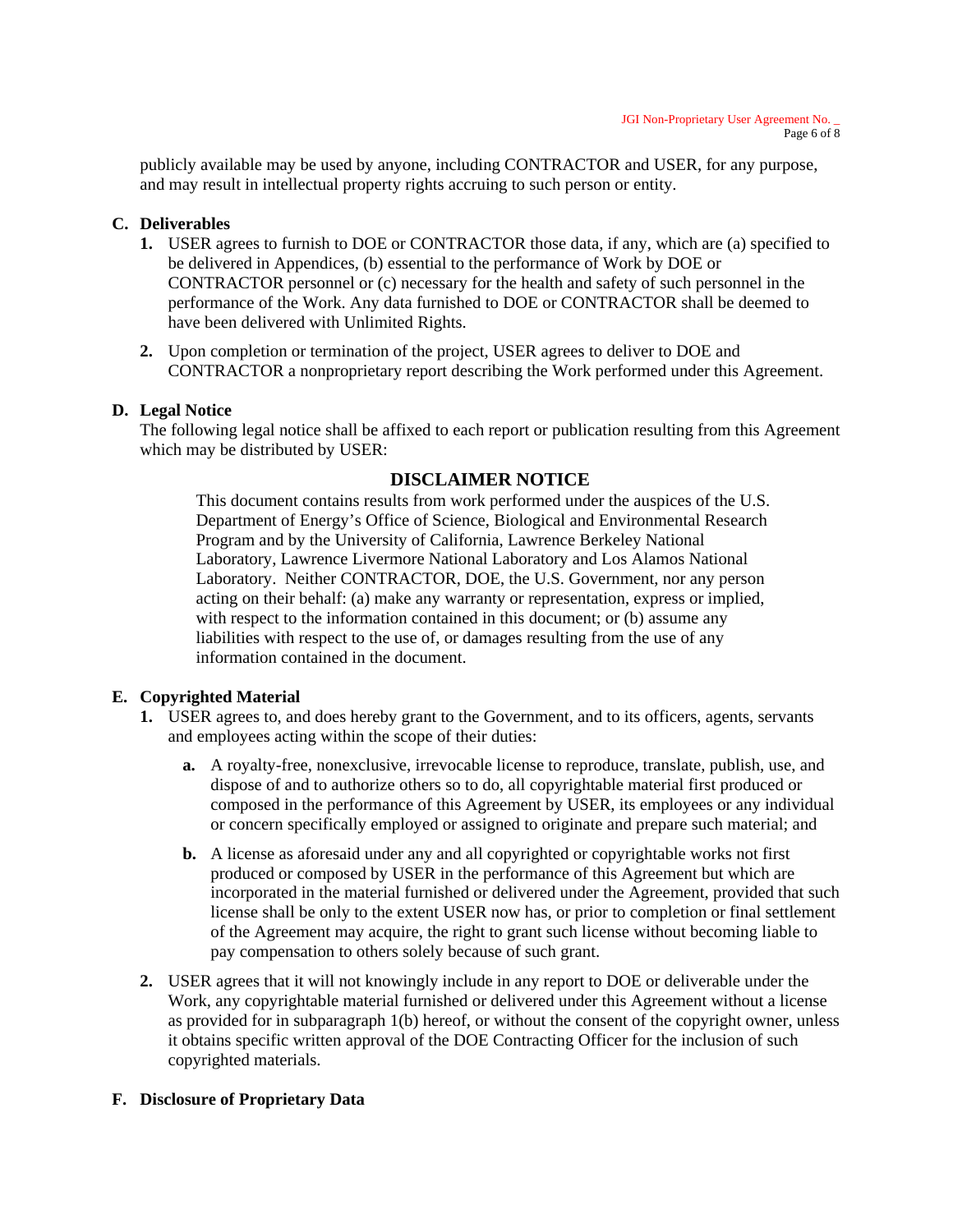publicly available may be used by anyone, including CONTRACTOR and USER, for any purpose, and may result in intellectual property rights accruing to such person or entity.

### **C. Deliverables**

- **1.** USER agrees to furnish to DOE or CONTRACTOR those data, if any, which are (a) specified to be delivered in Appendices, (b) essential to the performance of Work by DOE or CONTRACTOR personnel or (c) necessary for the health and safety of such personnel in the performance of the Work. Any data furnished to DOE or CONTRACTOR shall be deemed to have been delivered with Unlimited Rights.
- **2.** Upon completion or termination of the project, USER agrees to deliver to DOE and CONTRACTOR a nonproprietary report describing the Work performed under this Agreement.

### **D. Legal Notice**

The following legal notice shall be affixed to each report or publication resulting from this Agreement which may be distributed by USER:

# **DISCLAIMER NOTICE**

This document contains results from work performed under the auspices of the U.S. Department of Energy's Office of Science, Biological and Environmental Research Program and by the University of California, Lawrence Berkeley National Laboratory, Lawrence Livermore National Laboratory and Los Alamos National Laboratory. Neither CONTRACTOR, DOE, the U.S. Government, nor any person acting on their behalf: (a) make any warranty or representation, express or implied, with respect to the information contained in this document; or (b) assume any liabilities with respect to the use of, or damages resulting from the use of any information contained in the document.

# **E. Copyrighted Material**

- **1.** USER agrees to, and does hereby grant to the Government, and to its officers, agents, servants and employees acting within the scope of their duties:
	- **a.** A royalty-free, nonexclusive, irrevocable license to reproduce, translate, publish, use, and dispose of and to authorize others so to do, all copyrightable material first produced or composed in the performance of this Agreement by USER, its employees or any individual or concern specifically employed or assigned to originate and prepare such material; and
	- **b.** A license as aforesaid under any and all copyrighted or copyrightable works not first produced or composed by USER in the performance of this Agreement but which are incorporated in the material furnished or delivered under the Agreement, provided that such license shall be only to the extent USER now has, or prior to completion or final settlement of the Agreement may acquire, the right to grant such license without becoming liable to pay compensation to others solely because of such grant.
- **2.** USER agrees that it will not knowingly include in any report to DOE or deliverable under the Work, any copyrightable material furnished or delivered under this Agreement without a license as provided for in subparagraph 1(b) hereof, or without the consent of the copyright owner, unless it obtains specific written approval of the DOE Contracting Officer for the inclusion of such copyrighted materials.

# **F. Disclosure of Proprietary Data**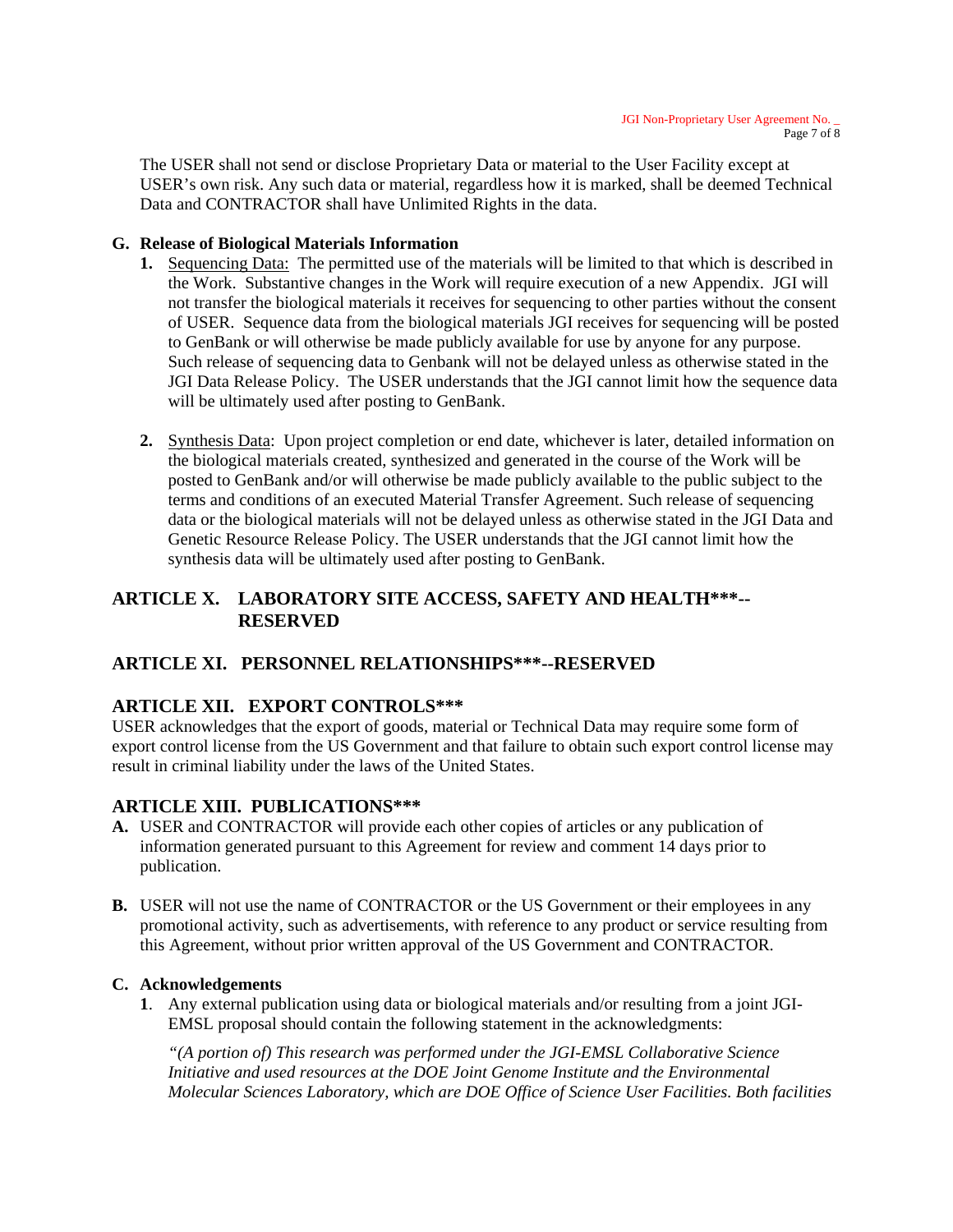The USER shall not send or disclose Proprietary Data or material to the User Facility except at USER's own risk. Any such data or material, regardless how it is marked, shall be deemed Technical Data and CONTRACTOR shall have Unlimited Rights in the data.

# **G. Release of Biological Materials Information**

- **1.** Sequencing Data: The permitted use of the materials will be limited to that which is described in the Work. Substantive changes in the Work will require execution of a new Appendix. JGI will not transfer the biological materials it receives for sequencing to other parties without the consent of USER. Sequence data from the biological materials JGI receives for sequencing will be posted to GenBank or will otherwise be made publicly available for use by anyone for any purpose. Such release of sequencing data to Genbank will not be delayed unless as otherwise stated in the JGI Data Release Policy. The USER understands that the JGI cannot limit how the sequence data will be ultimately used after posting to GenBank.
- **2.** Synthesis Data: Upon project completion or end date, whichever is later, detailed information on the biological materials created, synthesized and generated in the course of the Work will be posted to GenBank and/or will otherwise be made publicly available to the public subject to the terms and conditions of an executed Material Transfer Agreement. Such release of sequencing data or the biological materials will not be delayed unless as otherwise stated in the JGI Data and Genetic Resource Release Policy. The USER understands that the JGI cannot limit how the synthesis data will be ultimately used after posting to GenBank.

# **ARTICLE X. LABORATORY SITE ACCESS, SAFETY AND HEALTH\*\*\*-- RESERVED**

# **ARTICLE XI. PERSONNEL RELATIONSHIPS\*\*\*--RESERVED**

# **ARTICLE XII. EXPORT CONTROLS\*\*\***

USER acknowledges that the export of goods, material or Technical Data may require some form of export control license from the US Government and that failure to obtain such export control license may result in criminal liability under the laws of the United States.

# **ARTICLE XIII. PUBLICATIONS\*\*\***

- **A.** USER and CONTRACTOR will provide each other copies of articles or any publication of information generated pursuant to this Agreement for review and comment 14 days prior to publication.
- **B.** USER will not use the name of CONTRACTOR or the US Government or their employees in any promotional activity, such as advertisements, with reference to any product or service resulting from this Agreement, without prior written approval of the US Government and CONTRACTOR.

#### **C. Acknowledgements**

**1**. Any external publication using data or biological materials and/or resulting from a joint JGI-EMSL proposal should contain the following statement in the acknowledgments:

*"(A portion of) This research was performed under the JGI-EMSL Collaborative Science Initiative and used resources at the DOE Joint Genome Institute and the Environmental Molecular Sciences Laboratory, which are DOE Office of Science User Facilities. Both facilities*